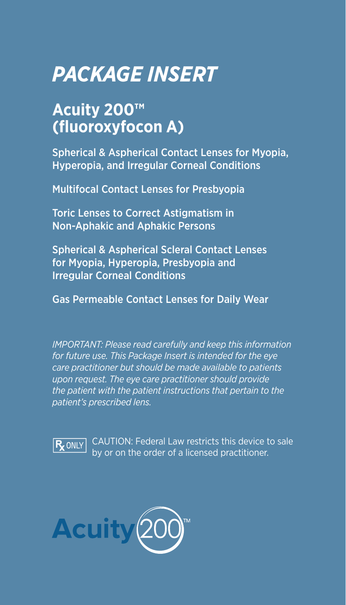# *PACKAGE INSERT*

# **Acuity 200™ (fluoroxyfocon A)**

Spherical & Aspherical Contact Lenses for Myopia, Hyperopia, and Irregular Corneal Conditions

Multifocal Contact Lenses for Presbyopia

Toric Lenses to Correct Astigmatism in Non-Aphakic and Aphakic Persons

Spherical & Aspherical Scleral Contact Lenses for Myopia, Hyperopia, Presbyopia and Irregular Corneal Conditions

Gas Permeable Contact Lenses for Daily Wear

*IMPORTANT: Please read carefully and keep this information for future use. This Package Insert is intended for the eye care practitioner but should be made available to patients upon request. The eye care practitioner should provide the patient with the patient instructions that pertain to the patient's prescribed lens.* 



CAUTION: Federal Law restricts this device to sale by or on the order of a licensed practitioner.

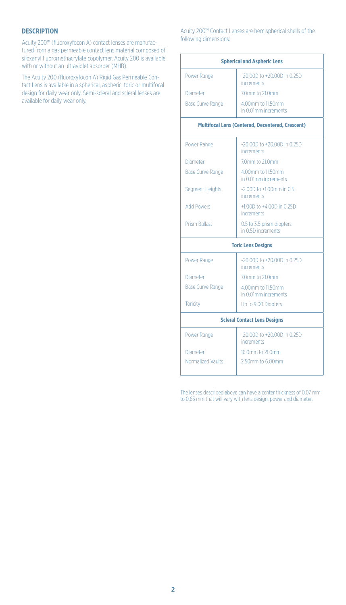# **DESCRIPTION**

Acuity 200™ (fluoroxyfocon A) contact lenses are manufactured from a gas permeable contact lens material composed of siloxanyl fluoromethacrylate copolymer. Acuity 200 is available with or without an ultraviolet absorber (MHB).

The Acuity 200 (fluoroxyfocon A) Rigid Gas Permeable Contact Lens is available in a spherical, aspheric, toric or multifocal design for daily wear only. Semi-scleral and scleral lenses are available for daily wear only.

# Acuity 200™ Contact Lenses are hemispherical shells of the following dimensions:

| <b>Spherical and Aspheric Lens</b>               |                                                      |  |
|--------------------------------------------------|------------------------------------------------------|--|
| Power Range                                      | $-20,00D$ to $+20,00D$ in 0.25D<br>increments        |  |
| Diameter                                         | 7.0mm to 21.0mm                                      |  |
| <b>Base Curve Range</b>                          | 4.00mm to 11.50mm<br>in 0.01mm increments            |  |
| Multifocal Lens (Centered, Decentered, Crescent) |                                                      |  |
| Power Range                                      | $-20,00D$ to $+20,00D$ in 0.25D<br><i>increments</i> |  |
| Diameter                                         | 7.0mm to 21.0mm                                      |  |
| <b>Base Curve Range</b>                          | 4.00mm to 11.50mm<br>in 0.01mm increments            |  |
| <b>Segment Heights</b>                           | $-2,00D$ to $+1,00$ mm in 0.5<br>increments.         |  |
| <b>Add Powers</b>                                | +1,00D to +4,00D in 0.25D<br><i>increments</i>       |  |
| <b>Prism Ballast</b>                             | 0.5 to 3.5 prism diopters<br>in 0.5D increments      |  |
| <b>Toric Lens Designs</b>                        |                                                      |  |
| Power Range                                      | $-20,00D$ to $+20,00D$ in 0.25D<br><i>increments</i> |  |
| Diameter                                         | 7.0mm to 21.0mm                                      |  |
| <b>Base Curve Range</b>                          | 4.00mm to 11.50mm<br>in 0.01mm increments            |  |
| Toricity                                         | Up to 9.00 Diopters                                  |  |
| <b>Scieral Contact Lens Designs</b>              |                                                      |  |
| Power Range                                      | $-20,00D$ to $+20,00D$ in 0.25D<br>increments        |  |
| Diameter                                         | 16.0mm to 21.0mm                                     |  |
| Normalized Vaults                                | 2.50mm to 6.00mm                                     |  |

The lenses described above can have a center thickness of 0.07 mm to 0.65 mm that will vary with lens design, power and diameter.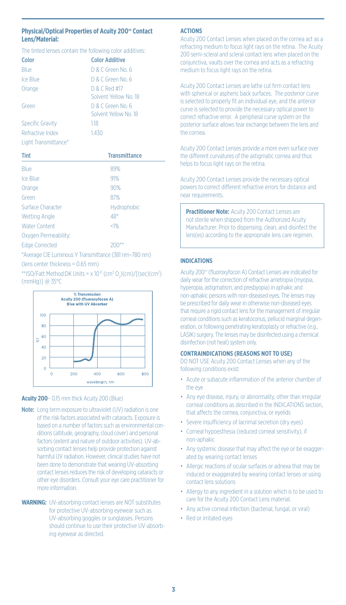# **Physical/Optical Properties of Acuity 200<sup>** $M$ **</sup> Contact Lens/Material:**

#### The tinted lenses contain the following color additives:

| Color            | <b>Color Additive</b>                      |
|------------------|--------------------------------------------|
| <b>Blue</b>      | D & C Green No. 6                          |
| Ice Blue         | D & C Green No. 6                          |
| Orange           | D & C Red #17<br>Solvent Yellow No. 18     |
| Green            | D & C Green No. 6<br>Solvent Yellow No. 18 |
| Specific Gravity | 118                                        |
| Refractive Index | 1.430                                      |

# Light Transmittance\*

| Tint                  | <b>Transmittance</b>                                  |
|-----------------------|-------------------------------------------------------|
| Blue                  | 89%                                                   |
| Ice Blue              | 91%                                                   |
| Orange                | 90%                                                   |
| Green                 | 87%                                                   |
| Surface Character     | Hydrophobic                                           |
| Wetting Angle         | 48°                                                   |
| Water Content         | < 1%                                                  |
| Oxygen Permeability:  |                                                       |
| <b>Edge Corrected</b> | 200**                                                 |
|                       | *Average CIF Luminous Y Transmittance (381 nm-780 nm) |

(lens center thickness = 0.65 mm)

\*\*ISO/Fatt Method:DK Units = x 10<sup>-n</sup> (cm<sup>3</sup> O<sub>2</sub>)(cm)/[(sec)(cm<sup>2</sup>) (mmHg)] @ 35°C



# **Acuity 200**– 0.15 mm thick Acuity 200 (Blue)

- Note: Long term exposure to ultraviolet (UV) radiation is one of the risk factors associated with cataracts. Exposure is based on a number of factors such as environmental conditions (altitude, geography, cloud cover) and personal factors (extent and nature of outdoor activities). UV-absorbing contact lenses help provide protection against harmful UV radiation. However, clinical studies have not been done to demonstrate that wearing UV-absorbing contact lenses reduces the risk of developing cataracts or other eye disorders. Consult your eye care practitioner for more information.
- **WARNING:** UV-absorbing contact lenses are NOT substitutes for protective UV-absorbing eyewear such as UV-absorbing goggles or sunglasses. Persons should continue to use their protective UV-absorbing eyewear as directed.

#### **ACTIONS**

Acuity 200 Contact Lenses when placed on the cornea act as a refracting medium to focus light rays on the retina. The Acuity 200 semi-scleral and scleral contact lens when placed on the conjunctiva, vaults over the cornea and acts as a refracting medium to focus light rays on the retina.

Acuity 200 Contact Lenses are lathe cut firm contact lens with spherical or aspheric back surfaces. The posterior curve is selected to properly fit an individual eye, and the anterior curve is selected to provide the necessary optical power to correct refractive error. A peripheral curve system on the posterior surface allows tear exchange between the lens and the cornea.

Acuity 200 Contact Lenses provide a more even surface over the different curvatures of the astigmatic cornea and thus helps to focus light rays on the retina.

Acuity 200 Contact Lenses provide the necessary optical powers to correct different refractive errors for distance and near requirements.

**Practitioner Note:** Acuity 200 Contact Lenses are not sterile when shipped from the Authorized Acuity Manufacturer. Prior to dispensing, clean, and disinfect the lens(es) according to the appropriate lens care regimen.

# **INDICATIONS**

Acuity 200<sup>®</sup> (fluoroxyfocon A) Contact Lenses are indicated for daily wear for the correction of refractive ametropia (myopia, hyperopia, astigmatism, and presbyopia) in aphakic and non-aphakic persons with non-diseased eyes. The lenses may be prescribed for daily wear in otherwise non-diseased eyes that require a rigid contact lens for the management of irregular corneal conditions such as keratoconus, pellucid marginal degeneration, or following penetrating keratoplasty or refractive (e.g., LASIK) surgery. The lenses may be disinfected using a chemical disinfection (not heat) system only.

#### **CONTRAINDICATIONS (REASONS NOT TO USE)**

DO NOT USE Acuity 200 Contact Lenses when any of the following conditions exist:

- Acute or subacute inflammation of the anterior chamber of the eye
- Any eye disease, injury, or abnormality, other than irregular corneal conditions as described in the INDICATIONS section, that affects the cornea, conjunctiva, or eyelids
- Severe insufficiency of lacrimal secretion (dry eyes)
- Corneal hypoesthesia (reduced corneal sensitivity), if non-aphakic
- Any systemic disease that may affect the eye or be exaggerated by wearing contact lenses
- Allergic reactions of ocular surfaces or adnexa that may be induced or exaggerated by wearing contact lenses or using contact lens solutions
- Allergy to any ingredient in a solution which is to be used to care for the Acuity 200 Contact Lens material.
- Any active corneal infection (bacterial, fungal, or viral)
- Red or irritated eyes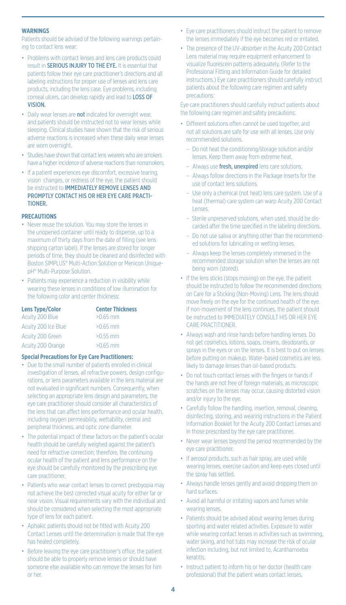#### **WARNINGS**

Patients should be advised of the following warnings pertaining to contact lens wear:

- Problems with contact lenses and lens care products could result in **SERIOUS INJURY TO THE EYE.** It is essential that patients follow their eye care practitioner's directions and all labeling instructions for proper use of lenses and lens care products, including the lens case. Eye problems, including corneal ulcers, can develop rapidly and lead to LOSS OF VISION.
- Daily wear lenses are not indicated for overnight wear, and patients should be instructed not to wear lenses while sleeping. Clinical studies have shown that the risk of serious adverse reactions is increased when these daily wear lenses are worn overnight.
- Studies have shown that contact lens wearers who are smokers have a higher incidence of adverse reactions than nonsmokers.
- If a patient experiences eye discomfort, excessive tearing, vision changes, or redness of the eye, the patient should be instructed to IMMEDIATELY REMOVE LENSES AND PROMPTLY CONTACT HIS OR HER EYE CARE PRACTI-TIONER.

# **PRECAUTIONS**

- Never reuse the solution. You may store the lenses in the unopened container until ready to dispense, up to a maximum of thirty days from the date of filling (see lens shipping carton label). If the lenses are stored for longer periods of time, they should be cleaned and disinfected with Boston SIMPLUS® Multi-Action Solution or Menicon UniquepH® Multi-Purpose Solution.
- Patients may experience a reduction in visibility while wearing these lenses in conditions of low illumination for the following color and center thickness:

| <b>Lens Type/Color</b> | <b>Center Thickness</b> |
|------------------------|-------------------------|
| Acuity 200 Blue        | $>0.65$ mm              |
| Acuity 200 Ice Blue    | $>0.65$ mm              |
| Acuity 200 Green       | $>0.55$ mm              |
| Acuity 200 Orange      | $>0.65$ mm              |

#### **Special Precautions for Eye Care Practitioners:**

- Due to the small number of patients enrolled in clinical investigation of lenses, all refractive powers, design configurations, or lens parameters available in the lens material are not evaluated in significant numbers. Consequently, when selecting an appropriate lens design and parameters, the eye care practitioner should consider all characteristics of the lens that can affect lens performance and ocular health, including oxygen permeability, wettability, central and peripheral thickness, and optic zone diameter.
- The potential impact of these factors on the patient's ocular health should be carefully weighed against the patient's need for refractive correction; therefore, the continuing ocular health of the patient and lens performance on the eye should be carefully monitored by the prescribing eye care practitioner.
- Patients who wear contact lenses to correct presbyopia may not achieve the best corrected visual acuity for either far or near vision. Visual requirements vary with the individual and should be considered when selecting the most appropriate type of lens for each patient.
- Aphakic patients should not be fitted with Acuity 200 Contact Lenses until the determination is made that the eye has healed completely.
- Before leaving the eye care practitioner's office, the patient should be able to properly remove lenses or should have someone else available who can remove the lenses for him or her.
- Eye care practitioners should instruct the patient to remove the lenses immediately if the eye becomes red or irritated.
- The presence of the UV-absorber in the Acuity 200 Contact Lens material may require equipment enhancement to visualize fluorescein patterns adequately. (Refer to the Professional Fitting and Information Guide for detailed instructions.) Eye care practitioners should carefully instruct patients about the following care regimen and safety precautions:

Eye care practitioners should carefully instruct patients about the following care regimen and safety precautions:

- Different solutions often cannot be used together, and not all solutions are safe for use with all lenses. Use only recommended solutions.
	- Do not heat the conditioning/storage solution and/or lenses. Keep them away from extreme heat.
	- Always use fresh, unexpired lens care solutions.
	- Always follow directions in the Package Inserts for the use of contact lens solutions.
	- Use only a chemical (not heat) lens care system. Use of a heat (thermal) care system can warp Acuity 200 Contact Lenses.
	- Sterile unpreserved solutions, when used, should be discarded after the time specified in the labeling directions.
	- Do not use saliva or anything other than the recommended solutions for lubricating or wetting lenses.
	- Always keep the lenses completely immersed in the recommended storage solution when the lenses are not being worn (stored).
- If the lens sticks (stops moving) on the eye, the patient should be instructed to follow the recommended directions on Care for a Sticking (Non-Moving) Lens. The lens should move freely on the eye for the continued health of the eye. If non-movement of the lens continues, the patient should be instructed to IMMEDIATELY CONSULT HIS OR HER EYE CARE PRACTITIONER.
- Always wash and rinse hands before handling lenses. Do not get cosmetics, lotions, soaps, creams, deodorants, or sprays in the eyes or on the lenses. It is best to put on lenses before putting on makeup. Water-based cosmetics are less likely to damage lenses than oil-based products.
- Do not touch contact lenses with the fingers or hands if the hands are not free of foreign materials, as microscopic scratches on the lenses may occur, causing distorted vision and/or injury to the eye.
- Carefully follow the handling, insertion, removal, cleaning, disinfecting, storing, and wearing instructions in the Patient Information Booklet for the Acuity 200 Contact Lenses and in those prescribed by the eye care practitioner.
- Never wear lenses beyond the period recommended by the eye care practitioner.
- If aerosol products, such as hair spray, are used while wearing lenses, exercise caution and keep eyes closed until the spray has settled.
- Always handle lenses gently and avoid dropping them on hard surfaces.
- Avoid all harmful or irritating vapors and fumes while wearing lenses.
- Patients should be advised about wearing lenses during sporting and water related activities. Exposure to water while wearing contact lenses in activities such as swimming, water skiing, and hot tubs may increase the risk of ocular infection including, but not limited to, Acanthamoeba keratitis.
- Instruct patient to inform his or her doctor (health care professional) that the patient wears contact lenses.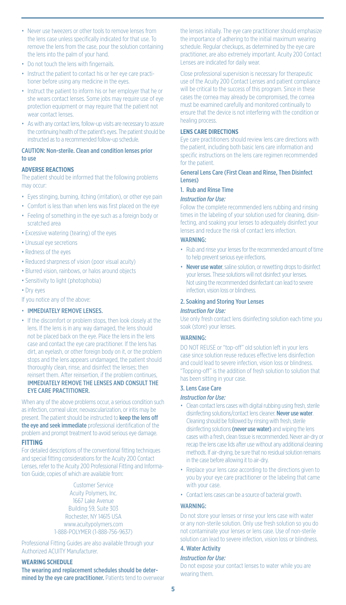- Never use tweezers or other tools to remove lenses from the lens case unless specifically indicated for that use. To remove the lens from the case, pour the solution containing the lens into the palm of your hand.
- Do not touch the lens with fingernails.
- Instruct the patient to contact his or her eye care practitioner before using any medicine in the eyes.
- Instruct the patient to inform his or her employer that he or she wears contact lenses. Some jobs may require use of eye protection equipment or may require that the patient not wear contact lenses.
- As with any contact lens, follow-up visits are necessary to assure the continuing health of the patient's eyes. The patient should be instructed as to a recommended follow-up schedule.

# CAUTION: Non-sterile. Clean and condition lenses prior to use

# **ADVERSE REACTIONS**

The patient should be informed that the following problems may occur:

- Eyes stinging, burning, itching (irritation), or other eye pain
- Comfort is less than when lens was first placed on the eye
- Feeling of something in the eye such as a foreign body or scratched area
- Excessive watering (tearing) of the eyes
- Unusual eye secretions
- Redness of the eyes
- Reduced sharpness of vision (poor visual acuity)
- Blurred vision, rainbows, or halos around objects
- Sensitivity to light (photophobia)
- Dry eyes
- If you notice any of the above:

#### • IMMEDIATELY REMOVE LENSES.

• If the discomfort or problem stops, then look closely at the lens. If the lens is in any way damaged, the lens should not be placed back on the eye. Place the lens in the lens case and contact the eye care practitioner. If the lens has dirt, an eyelash, or other foreign body on it, or the problem stops and the lens appears undamaged, the patient should thoroughly clean, rinse, and disinfect the lenses; then reinsert them. After reinsertion, if the problem continues, IMMEDIATELY REMOVE THE LENSES AND CONSULT THE EYE CARE PRACTITIONER.

When any of the above problems occur, a serious condition such as infection, corneal ulcer, neovascularization, or iritis may be present. The patient should be instructed to keep the lens off the eye and seek immediate professional identification of the problem and prompt treatment to avoid serious eye damage. **FITTING**

For detailed descriptions of the conventional fitting techniques and special fitting considerations for the Acuity 200 Contact Lenses, refer to the Acuity 200 Professional Fitting and Information Guide, copies of which are available from:

> Customer Service Acuity Polymers, Inc. 1667 Lake Avenue Building 59, Suite 303 Rochester, NY 14615 USA www.acuitypolymers.com 1-888-POLYMER (1-888-756-9637)

Professional Fitting Guides are also available through your Authorized ACUITY Manufacturer.

#### **WEARING SCHEDULE**

The wearing and replacement schedules should be determined by the eye care practitioner. Patients tend to overwear the lenses initially. The eye care practitioner should emphasize the importance of adhering to the initial maximum wearing schedule. Regular checkups, as determined by the eye care practitioner, are also extremely important. Acuity 200 Contact Lenses are indicated for daily wear.

Close professional supervision is necessary for therapeutic use of the Acuity 200 Contact Lenses and patient compliance will be critical to the success of this program. Since in these cases the cornea may already be compromised, the cornea must be examined carefully and monitored continually to ensure that the device is not interfering with the condition or healing process.

# **LENS CARE DIRECTIONS**

Eye care practitioners should review lens care directions with the patient, including both basic lens care information and specific instructions on the lens care regimen recommended for the patient.

# General Lens Care (First Clean and Rinse, Then Disinfect Lenses)

1. Rub and Rinse Time

#### *Instruction for Use:*

Follow the complete recommended lens rubbing and rinsing times in the labeling of your solution used for cleaning, disinfecting, and soaking your lenses to adequately disinfect your lenses and reduce the risk of contact lens infection.

#### WARNING:

- Rub and rinse your lenses for the recommended amount of time to help prevent serious eye infections.
- Never use water, saline solution, or rewetting drops to disinfect your lenses. These solutions will not disinfect your lenses. Not using the recommended disinfectant can lead to severe infection, vision loss or blindness.

# 2. Soaking and Storing Your Lenses

#### *Instruction for Use:*

Use only fresh contact lens disinfecting solution each time you soak (store) your lenses.

#### WADNING:

DO NOT REUSE or "top-off" old solution left in your lens case since solution reuse reduces effective lens disinfection and could lead to severe infection, vision loss or blindness. "Topping-off" is the addition of fresh solution to solution that has been sitting in your case.

#### 3. Lens Case Care

#### *Instruction for Use:*

- Clean contact lens cases with digital rubbing using fresh, sterile disinfecting solutions/contact lens cleaner. Never use water. Cleaning should be followed by rinsing with fresh, sterile disinfecting solutions (never use water) and wiping the lens cases with a fresh, clean tissue is recommended. Never air-dry or recap the lens case lids after use without any additional cleaning methods. If air-drying, be sure that no residual solution remains in the case before allowing it to air-dry.
- Replace your lens case according to the directions given to you by your eye care practitioner or the labeling that came with your case.
- Contact lens cases can be a source of bacterial growth.

#### WARNING:

Do not store your lenses or rinse your lens case with water or any non-sterile solution. Only use fresh solution so you do not contaminate your lenses or lens case. Use of non-sterile solution can lead to severe infection, vision loss or blindness.

# 4. Water Activity

#### *Instruction for Use:*

Do not expose your contact lenses to water while you are wearing them.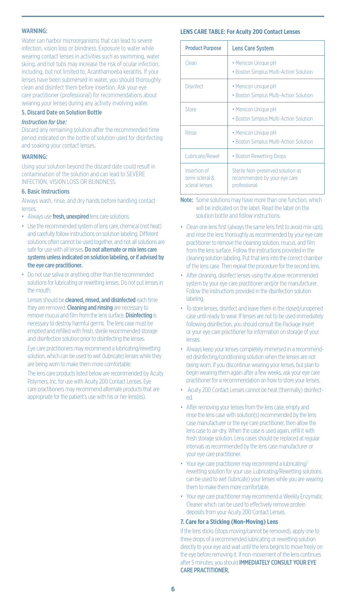# WARNING:

Water can harbor microorganisms that can lead to severe infection, vision loss or blindness. Exposure to water while wearing contact lenses in activities such as swimming, water skiing, and hot tubs may increase the risk of ocular infection, including, but not limited to, Acanthamoeba keratitis. If your lenses have been submersed in water, you should thoroughly clean and disinfect them before insertion. Ask your eye care practitioner (professional) for recommendations about wearing your lenses during any activity involving water.

#### 5. Discard Date on Solution Bottle

#### *Instruction for Use:*

Discard any remaining solution after the recommended time period indicated on the bottle of solution used for disinfecting and soaking your contact lenses.

#### WARNING:

Using your solution beyond the discard date could result in contamination of the solution and can lead to SEVERE INFECTION, VISION LOSS OR BLINDNESS.

#### 6. Basic Instructions

Always wash, rinse, and dry hands before handling contact lenses.

- Always use fresh, unexpired lens care solutions.
- Use the recommended system of lens care, chemical (not heat) and carefully follow instructions on solution labeling. Different solutions often cannot be used together, and not all solutions are safe for use with all lenses. Do not alternate or mix lens care systems unless indicated on solution labeling, or if advised by the eye care practitioner.
- Do not use saliva or anything other than the recommended solutions for lubricating or rewetting lenses. Do not put lenses in the mouth.

Lenses should be **cleaned, rinsed, and disinfected** each time they are removed. Cleaning and rinsing are necessary to remove mucus and film from the lens surface. **Disinfecting** is necessary to destroy harmful germs. The lens case must be emptied and refilled with fresh, sterile recommended storage and disinfection solution prior to disinfecting the lenses.

 Eye care practitioners may recommend a lubricating/rewetting solution, which can be used to wet (lubricate) lenses while they are being worn to make them more comfortable.

 The lens care products listed below are recommended by Acuity Polymers, Inc. for use with Acuity 200 Contact Lenses. Eye care practitioners may recommend alternate products that are appropriate for the patient's use with his or her lens(es).

#### **LENS CARE TABLE: For Acuity 200 Contact Lenses**

| <b>Product Purpose</b>                           | <b>Lens Care System</b>                                                           |
|--------------------------------------------------|-----------------------------------------------------------------------------------|
| Clean                                            | • Menicon Unique pH<br>. Boston Simplus Multi-Action Solution                     |
| Disinfect                                        | • Menicon Unique pH<br>• Boston Simplus Multi-Action Solution                     |
| Store                                            | • Menicon Unique pH<br>. Boston Simplus Multi-Action Solution                     |
| Rinse                                            | • Menicon Unique pH<br>• Boston Simplus Multi-Action Solution                     |
| Lubricate/Rewet                                  | • Boston Rewetting Drops                                                          |
| Insertion of<br>semi-scleral &<br>scleral lenses | Sterile Non-preserved solution as<br>recommended by your eye care<br>professional |

Note: Some solutions may have more than one function, which will be indicated on the label. Read the label on the solution bottle and follow instructions.

- Clean one lens first (always the same lens first to avoid mix-ups), and rinse the lens thoroughly as recommended by your eye care practitioner to remove the cleaning solution, mucus, and film from the lens surface. Follow the instructions provided in the cleaning solution labeling. Put that lens into the correct chamber of the lens case. Then repeat the procedure for the second lens.
- After cleaning, disinfect lenses using the above recommended system by your eye care practitioner and/or the manufacturer. Follow the instructions provided in the disinfection solution labeling.
- To store lenses, disinfect and leave them in the closed/unopened case until ready to wear. If lenses are not to be used immediately following disinfection, you should consult the Package Insert or your eye care practitioner for information on storage of your lenses.
- Always keep your lenses completely immersed in a recommended disinfecting/conditioning solution when the lenses are not being worn. If you discontinue wearing your lenses, but plan to begin wearing them again after a few weeks, ask your eye care practitioner for a recommendation on how to store your lenses.
- Acuity 200 Contact Lenses cannot be heat (thermally) disinfected.
- After removing your lenses from the lens case, empty and rinse the lens case with solution(s) recommended by the lens case manufacturer or the eye care practitioner, then allow the lens case to air-dry. When the case is used again, refill it with fresh storage solution. Lens cases should be replaced at regular intervals as recommended by the lens case manufacturer or your eye care practitioner.
- Your eye care practitioner may recommend a lubricating/ rewetting solution for your use. Lubricating/Rewetting solutions can be used to wet (lubricate) your lenses while you are wearing them to make them more comfortable.
- Your eye care practitioner may recommend a Weekly Enzymatic Cleaner which can be used to effectively remove protein deposits from your Acuity 200 Contact Lenses.

#### **7. Care for a Sticking (Non-Moving) Lens**

If the lens sticks (stops moving/cannot be removed), apply one to three drops of a recommended lubricating or rewetting solution directly to your eye and wait until the lens begins to move freely on the eye before removing it. If non-movement of the lens continues after 5 minutes, you should **IMMEDIATELY CONSULT YOUR EYE** CARE PRACTITIONER.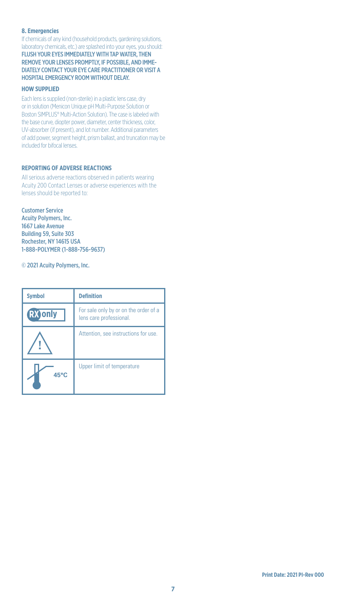# **8. Emergencies**

If chemicals of any kind (household products, gardening solutions, laboratory chemicals, etc.) are splashed into your eyes, you should: FLUSH YOUR EYES IMMEDIATELY WITH TAP WATER, THEN REMOVE YOUR LENSES PROMPTLY, IF POSSIBLE, AND IMME-DIATELY CONTACT YOUR EYE CARE PRACTITIONER OR VISIT A HOSPITAL EMERGENCY ROOM WITHOUT DELAY.

# **HOW SUPPLIED**

Each lens is supplied (non-sterile) in a plastic lens case, dry or in solution (Menicon Unique pH Multi-Purpose Solution or Boston SIMPLUS® Multi-Action Solution). The case is labeled with the base curve, diopter power, diameter, center thickness, color, UV-absorber (if present), and lot number. Additional parameters of add power, segment height, prism ballast, and truncation may be included for bifocal lenses.

# **REPORTING OF ADVERSE REACTIONS**

All serious adverse reactions observed in patients wearing Acuity 200 Contact Lenses or adverse experiences with the lenses should be reported to:

Customer Service Acuity Polymers, Inc. 1667 Lake Avenue Building 59, Suite 303 Rochester, NY 14615 USA 1-888-POLYMER (1-888-756-9637)

© 2021 Acuity Polymers, Inc.

| <b>Symbol</b> | <b>Definition</b>                                                |
|---------------|------------------------------------------------------------------|
| RX only       | For sale only by or on the order of a<br>lens care professional. |
|               | Attention, see instructions for use.                             |
| 45°C          | Upper limit of temperature                                       |